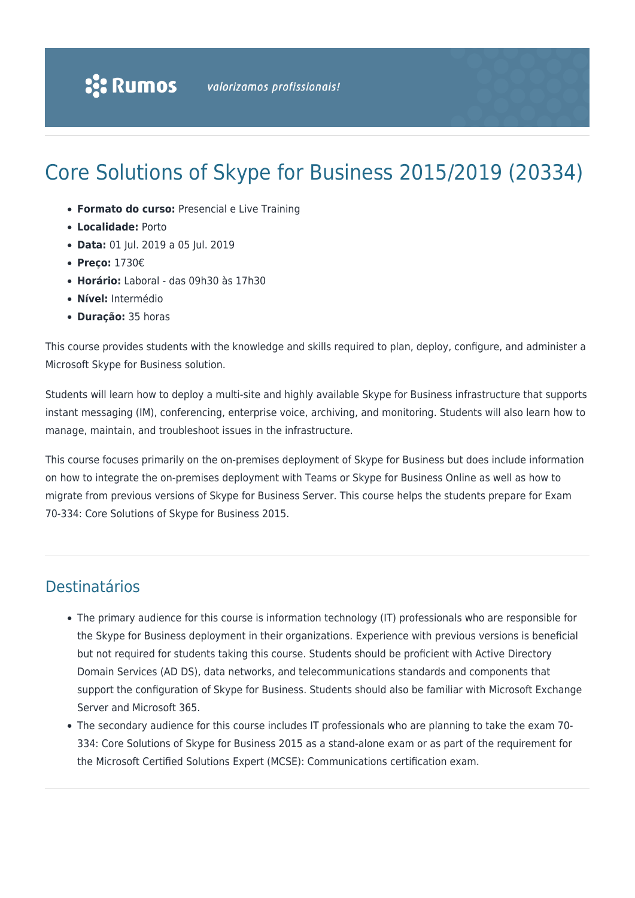# Core Solutions of Skype for Business 2015/2019 (20334)

- **Formato do curso:** Presencial e Live Training
- **Localidade:** Porto
- **Data:** 01 Jul. 2019 a 05 Jul. 2019
- **Preço:** 1730€
- **Horário:** Laboral das 09h30 às 17h30
- **Nível:** Intermédio
- **Duração:** 35 horas

This course provides students with the knowledge and skills required to plan, deploy, configure, and administer a Microsoft Skype for Business solution.

Students will learn how to deploy a multi-site and highly available Skype for Business infrastructure that supports instant messaging (IM), conferencing, enterprise voice, archiving, and monitoring. Students will also learn how to manage, maintain, and troubleshoot issues in the infrastructure.

This course focuses primarily on the on-premises deployment of Skype for Business but does include information on how to integrate the on-premises deployment with Teams or Skype for Business Online as well as how to migrate from previous versions of Skype for Business Server. This course helps the students prepare for Exam 70-334: Core Solutions of Skype for Business 2015.

### Destinatários

- The primary audience for this course is information technology (IT) professionals who are responsible for the Skype for Business deployment in their organizations. Experience with previous versions is beneficial but not required for students taking this course. Students should be proficient with Active Directory Domain Services (AD DS), data networks, and telecommunications standards and components that support the configuration of Skype for Business. Students should also be familiar with Microsoft Exchange Server and Microsoft 365.
- The secondary audience for this course includes IT professionals who are planning to take the exam 70- 334: Core Solutions of Skype for Business 2015 as a stand-alone exam or as part of the requirement for the Microsoft Certified Solutions Expert (MCSE): Communications certification exam.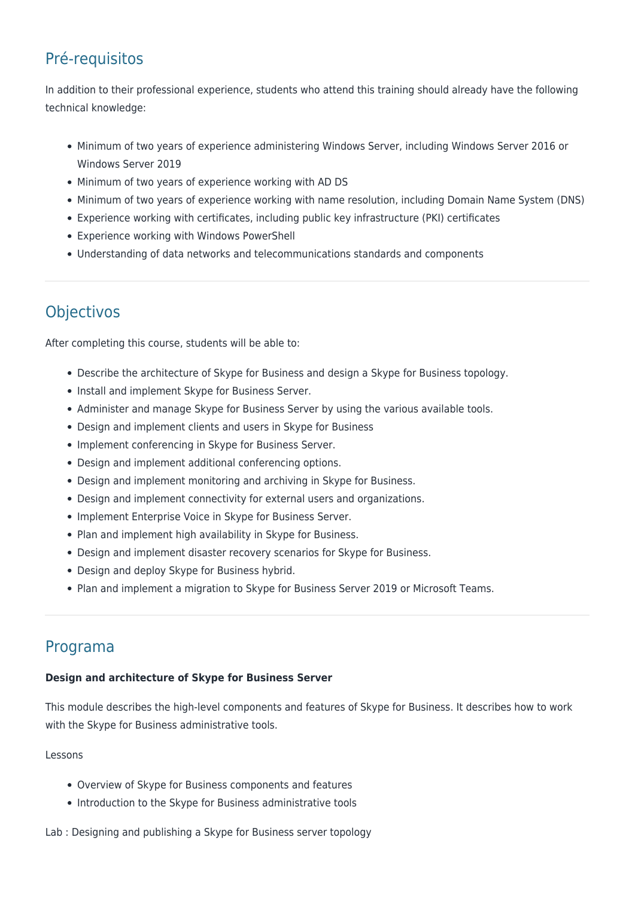# Pré-requisitos

In addition to their professional experience, students who attend this training should already have the following technical knowledge:

- Minimum of two years of experience administering Windows Server, including Windows Server 2016 or Windows Server 2019
- Minimum of two years of experience working with AD DS
- Minimum of two years of experience working with name resolution, including Domain Name System (DNS)
- Experience working with certificates, including public key infrastructure (PKI) certificates
- Experience working with Windows PowerShell
- Understanding of data networks and telecommunications standards and components

## **Objectivos**

After completing this course, students will be able to:

- Describe the architecture of Skype for Business and design a Skype for Business topology.
- Install and implement Skype for Business Server.
- Administer and manage Skype for Business Server by using the various available tools.
- Design and implement clients and users in Skype for Business
- Implement conferencing in Skype for Business Server.
- Design and implement additional conferencing options.
- Design and implement monitoring and archiving in Skype for Business.
- Design and implement connectivity for external users and organizations.
- Implement Enterprise Voice in Skype for Business Server.
- Plan and implement high availability in Skype for Business.
- Design and implement disaster recovery scenarios for Skype for Business.
- Design and deploy Skype for Business hybrid.
- Plan and implement a migration to Skype for Business Server 2019 or Microsoft Teams.

### Programa

#### **Design and architecture of Skype for Business Server**

This module describes the high-level components and features of Skype for Business. It describes how to work with the Skype for Business administrative tools.

#### Lessons

- Overview of Skype for Business components and features
- Introduction to the Skype for Business administrative tools
- Lab : Designing and publishing a Skype for Business server topology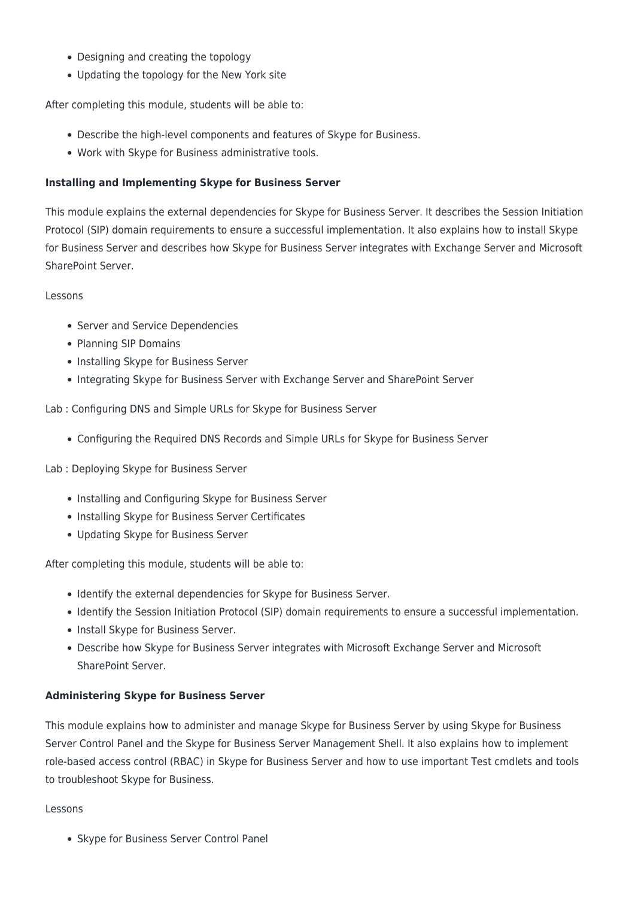- Designing and creating the topology
- Updating the topology for the New York site

After completing this module, students will be able to:

- Describe the high-level components and features of Skype for Business.
- Work with Skype for Business administrative tools.

#### **Installing and Implementing Skype for Business Server**

This module explains the external dependencies for Skype for Business Server. It describes the Session Initiation Protocol (SIP) domain requirements to ensure a successful implementation. It also explains how to install Skype for Business Server and describes how Skype for Business Server integrates with Exchange Server and Microsoft SharePoint Server.

#### Lessons

- Server and Service Dependencies
- Planning SIP Domains
- Installing Skype for Business Server
- Integrating Skype for Business Server with Exchange Server and SharePoint Server

Lab : Configuring DNS and Simple URLs for Skype for Business Server

Configuring the Required DNS Records and Simple URLs for Skype for Business Server

Lab : Deploying Skype for Business Server

- Installing and Configuring Skype for Business Server
- Installing Skype for Business Server Certificates
- Updating Skype for Business Server

After completing this module, students will be able to:

- Identify the external dependencies for Skype for Business Server.
- Identify the Session Initiation Protocol (SIP) domain requirements to ensure a successful implementation.
- Install Skype for Business Server.
- Describe how Skype for Business Server integrates with Microsoft Exchange Server and Microsoft SharePoint Server.

#### **Administering Skype for Business Server**

This module explains how to administer and manage Skype for Business Server by using Skype for Business Server Control Panel and the Skype for Business Server Management Shell. It also explains how to implement role-based access control (RBAC) in Skype for Business Server and how to use important Test cmdlets and tools to troubleshoot Skype for Business.

#### Lessons

• Skype for Business Server Control Panel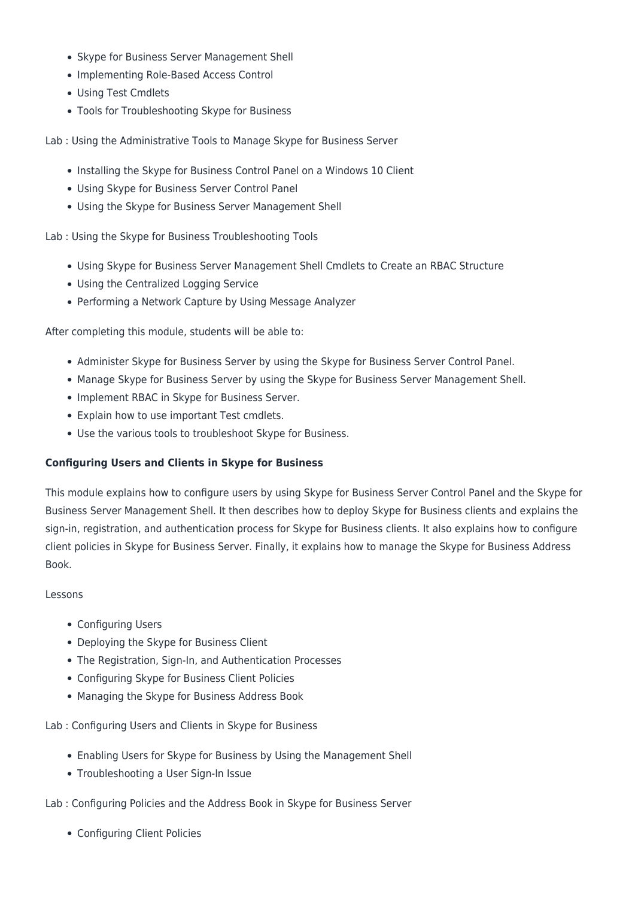- Skype for Business Server Management Shell
- Implementing Role-Based Access Control
- Using Test Cmdlets
- Tools for Troubleshooting Skype for Business

Lab : Using the Administrative Tools to Manage Skype for Business Server

- Installing the Skype for Business Control Panel on a Windows 10 Client
- Using Skype for Business Server Control Panel
- Using the Skype for Business Server Management Shell

Lab : Using the Skype for Business Troubleshooting Tools

- Using Skype for Business Server Management Shell Cmdlets to Create an RBAC Structure
- Using the Centralized Logging Service
- Performing a Network Capture by Using Message Analyzer

After completing this module, students will be able to:

- Administer Skype for Business Server by using the Skype for Business Server Control Panel.
- Manage Skype for Business Server by using the Skype for Business Server Management Shell.
- Implement RBAC in Skype for Business Server.
- Explain how to use important Test cmdlets.
- Use the various tools to troubleshoot Skype for Business.

#### **Configuring Users and Clients in Skype for Business**

This module explains how to configure users by using Skype for Business Server Control Panel and the Skype for Business Server Management Shell. It then describes how to deploy Skype for Business clients and explains the sign-in, registration, and authentication process for Skype for Business clients. It also explains how to configure client policies in Skype for Business Server. Finally, it explains how to manage the Skype for Business Address Book.

#### Lessons

- Configuring Users
- Deploying the Skype for Business Client
- The Registration, Sign-In, and Authentication Processes
- Configuring Skype for Business Client Policies
- Managing the Skype for Business Address Book

Lab : Configuring Users and Clients in Skype for Business

- Enabling Users for Skype for Business by Using the Management Shell
- Troubleshooting a User Sign-In Issue

Lab : Configuring Policies and the Address Book in Skype for Business Server

Configuring Client Policies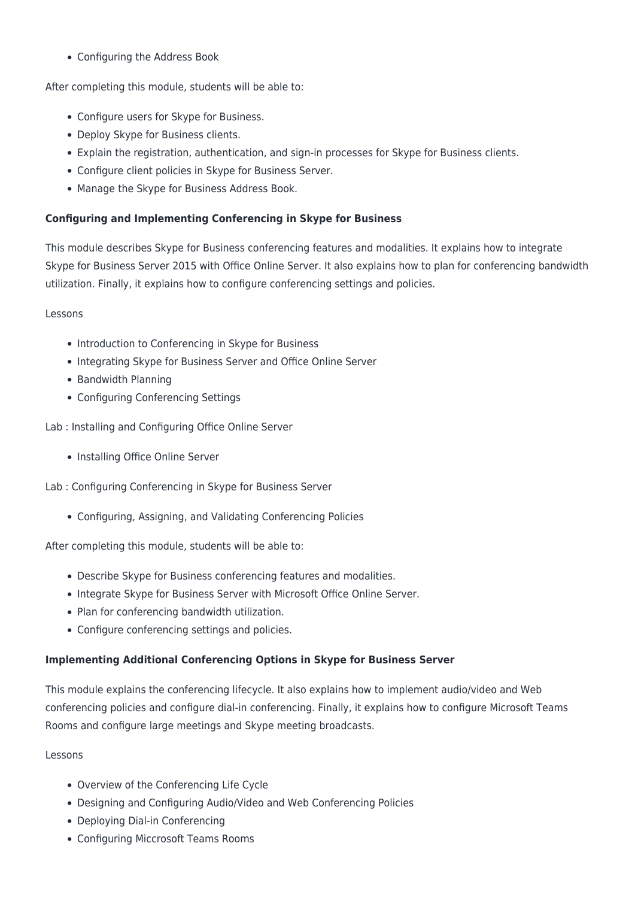Configuring the Address Book

After completing this module, students will be able to:

- Configure users for Skype for Business.
- Deploy Skype for Business clients.
- Explain the registration, authentication, and sign-in processes for Skype for Business clients.
- Configure client policies in Skype for Business Server.
- Manage the Skype for Business Address Book.

#### **Configuring and Implementing Conferencing in Skype for Business**

This module describes Skype for Business conferencing features and modalities. It explains how to integrate Skype for Business Server 2015 with Office Online Server. It also explains how to plan for conferencing bandwidth utilization. Finally, it explains how to configure conferencing settings and policies.

#### Lessons

- Introduction to Conferencing in Skype for Business
- Integrating Skype for Business Server and Office Online Server
- Bandwidth Planning
- Configuring Conferencing Settings

Lab : Installing and Configuring Office Online Server

• Installing Office Online Server

Lab : Configuring Conferencing in Skype for Business Server

Configuring, Assigning, and Validating Conferencing Policies

After completing this module, students will be able to:

- Describe Skype for Business conferencing features and modalities.
- Integrate Skype for Business Server with Microsoft Office Online Server.
- Plan for conferencing bandwidth utilization.
- Configure conferencing settings and policies.

#### **Implementing Additional Conferencing Options in Skype for Business Server**

This module explains the conferencing lifecycle. It also explains how to implement audio/video and Web conferencing policies and configure dial-in conferencing. Finally, it explains how to configure Microsoft Teams Rooms and configure large meetings and Skype meeting broadcasts.

#### Lessons

- Overview of the Conferencing Life Cycle
- Designing and Configuring Audio/Video and Web Conferencing Policies
- Deploying Dial-in Conferencing
- Configuring Miccrosoft Teams Rooms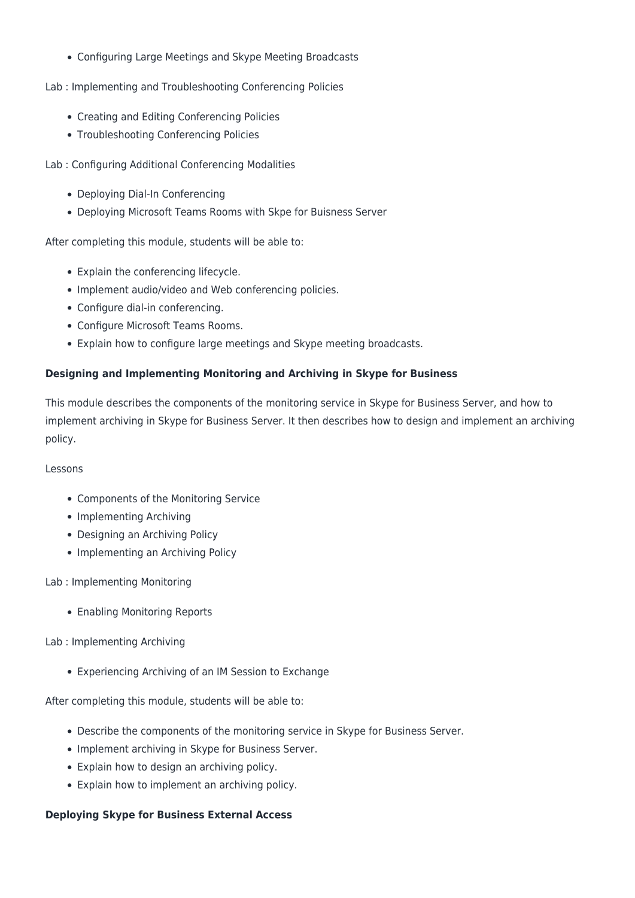Configuring Large Meetings and Skype Meeting Broadcasts

Lab : Implementing and Troubleshooting Conferencing Policies

- Creating and Editing Conferencing Policies
- Troubleshooting Conferencing Policies

Lab : Configuring Additional Conferencing Modalities

- Deploying Dial-In Conferencing
- Deploying Microsoft Teams Rooms with Skpe for Buisness Server

After completing this module, students will be able to:

- Explain the conferencing lifecycle.
- Implement audio/video and Web conferencing policies.
- Configure dial-in conferencing.
- Configure Microsoft Teams Rooms.
- Explain how to configure large meetings and Skype meeting broadcasts.

#### **Designing and Implementing Monitoring and Archiving in Skype for Business**

This module describes the components of the monitoring service in Skype for Business Server, and how to implement archiving in Skype for Business Server. It then describes how to design and implement an archiving policy.

#### Lessons

- Components of the Monitoring Service
- Implementing Archiving
- Designing an Archiving Policy
- Implementing an Archiving Policy

Lab : Implementing Monitoring

- Enabling Monitoring Reports
- Lab : Implementing Archiving
	- Experiencing Archiving of an IM Session to Exchange

After completing this module, students will be able to:

- Describe the components of the monitoring service in Skype for Business Server.
- Implement archiving in Skype for Business Server.
- Explain how to design an archiving policy.
- Explain how to implement an archiving policy.

#### **Deploying Skype for Business External Access**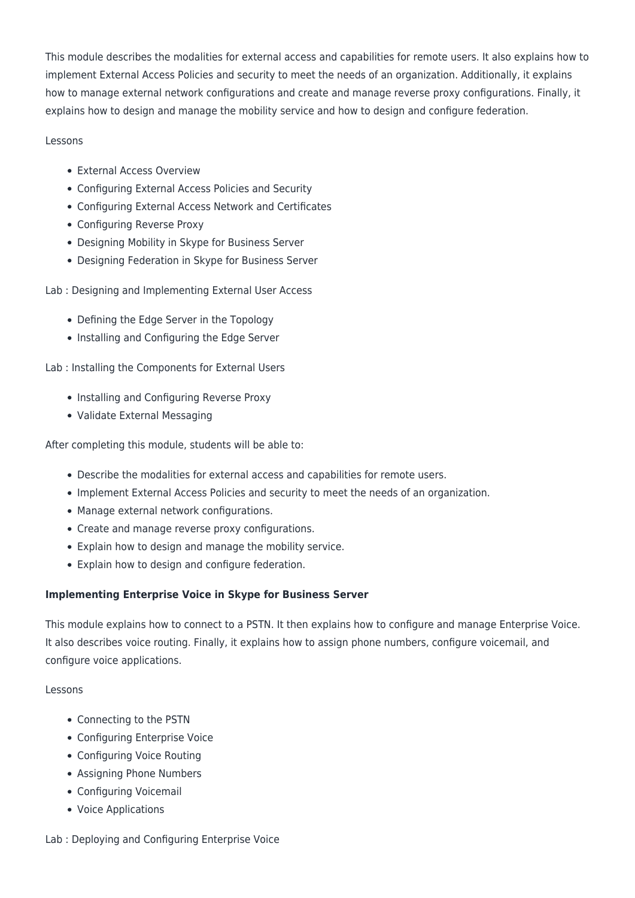This module describes the modalities for external access and capabilities for remote users. It also explains how to implement External Access Policies and security to meet the needs of an organization. Additionally, it explains how to manage external network configurations and create and manage reverse proxy configurations. Finally, it explains how to design and manage the mobility service and how to design and configure federation.

#### Lessons

- External Access Overview
- Configuring External Access Policies and Security
- Configuring External Access Network and Certificates
- Configuring Reverse Proxy
- Designing Mobility in Skype for Business Server
- Designing Federation in Skype for Business Server

Lab : Designing and Implementing External User Access

- Defining the Edge Server in the Topology
- Installing and Configuring the Edge Server

Lab : Installing the Components for External Users

- Installing and Configuring Reverse Proxy
- Validate External Messaging

After completing this module, students will be able to:

- Describe the modalities for external access and capabilities for remote users.
- Implement External Access Policies and security to meet the needs of an organization.
- Manage external network configurations.
- Create and manage reverse proxy configurations.
- Explain how to design and manage the mobility service.
- Explain how to design and configure federation.

#### **Implementing Enterprise Voice in Skype for Business Server**

This module explains how to connect to a PSTN. It then explains how to configure and manage Enterprise Voice. It also describes voice routing. Finally, it explains how to assign phone numbers, configure voicemail, and configure voice applications.

#### Lessons

- Connecting to the PSTN
- Configuring Enterprise Voice
- Configuring Voice Routing
- Assigning Phone Numbers
- Configuring Voicemail
- Voice Applications

#### Lab : Deploying and Configuring Enterprise Voice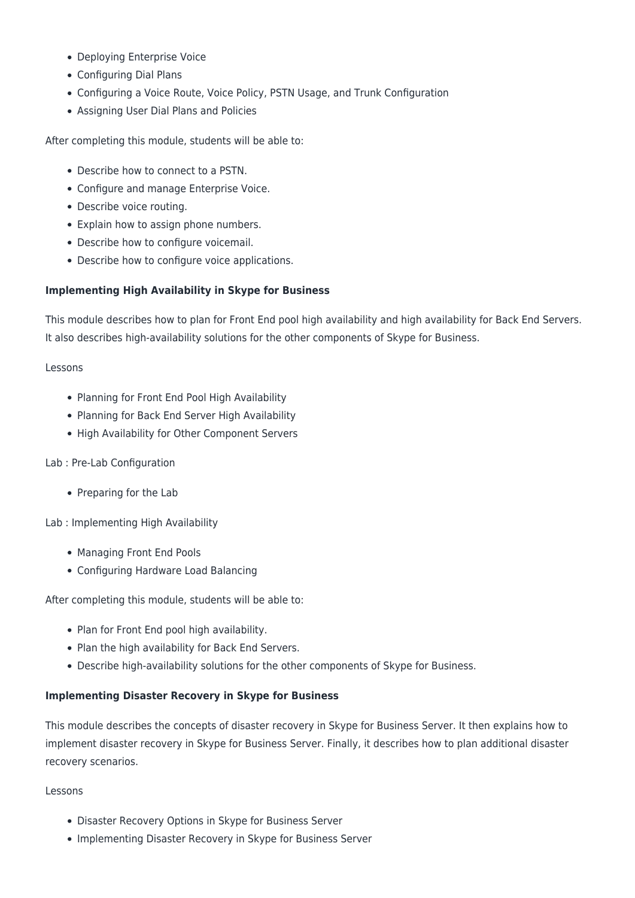- Deploying Enterprise Voice
- Configuring Dial Plans
- Configuring a Voice Route, Voice Policy, PSTN Usage, and Trunk Configuration
- Assigning User Dial Plans and Policies

After completing this module, students will be able to:

- Describe how to connect to a PSTN.
- Configure and manage Enterprise Voice.
- Describe voice routing.
- Explain how to assign phone numbers.
- Describe how to configure voicemail.
- Describe how to configure voice applications.

#### **Implementing High Availability in Skype for Business**

This module describes how to plan for Front End pool high availability and high availability for Back End Servers. It also describes high-availability solutions for the other components of Skype for Business.

#### Lessons

- Planning for Front End Pool High Availability
- Planning for Back End Server High Availability
- High Availability for Other Component Servers

#### Lab : Pre-Lab Configuration

• Preparing for the Lab

Lab : Implementing High Availability

- Managing Front End Pools
- Configuring Hardware Load Balancing

After completing this module, students will be able to:

- Plan for Front End pool high availability.
- Plan the high availability for Back End Servers.
- Describe high-availability solutions for the other components of Skype for Business.

#### **Implementing Disaster Recovery in Skype for Business**

This module describes the concepts of disaster recovery in Skype for Business Server. It then explains how to implement disaster recovery in Skype for Business Server. Finally, it describes how to plan additional disaster recovery scenarios.

#### Lessons

- Disaster Recovery Options in Skype for Business Server
- Implementing Disaster Recovery in Skype for Business Server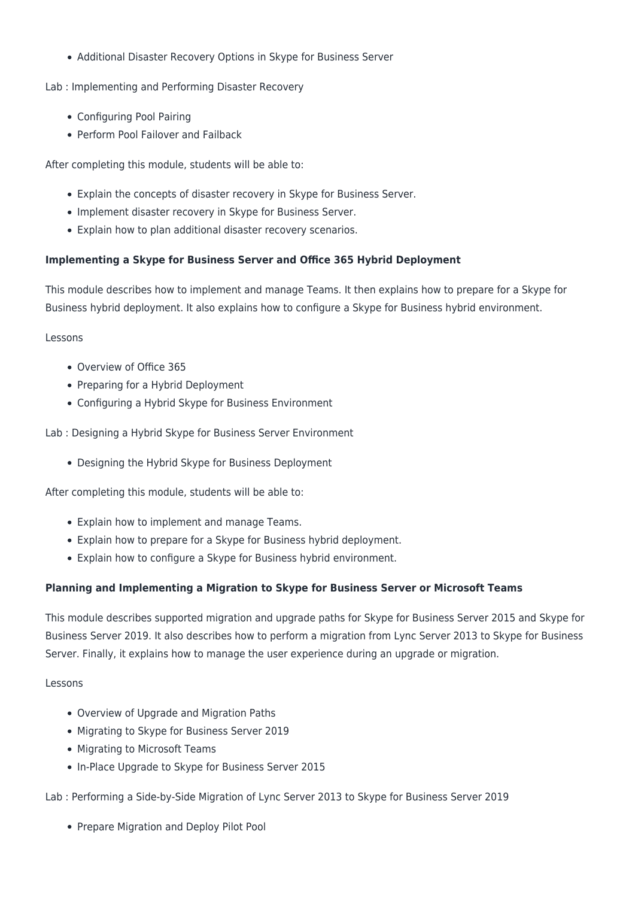• Additional Disaster Recovery Options in Skype for Business Server

Lab : Implementing and Performing Disaster Recovery

- Configuring Pool Pairing
- Perform Pool Failover and Failback

After completing this module, students will be able to:

- Explain the concepts of disaster recovery in Skype for Business Server.
- Implement disaster recovery in Skype for Business Server.
- Explain how to plan additional disaster recovery scenarios.

#### **Implementing a Skype for Business Server and Office 365 Hybrid Deployment**

This module describes how to implement and manage Teams. It then explains how to prepare for a Skype for Business hybrid deployment. It also explains how to configure a Skype for Business hybrid environment.

Lessons

- Overview of Office 365
- Preparing for a Hybrid Deployment
- Configuring a Hybrid Skype for Business Environment

Lab : Designing a Hybrid Skype for Business Server Environment

Designing the Hybrid Skype for Business Deployment

After completing this module, students will be able to:

- Explain how to implement and manage Teams.
- Explain how to prepare for a Skype for Business hybrid deployment.
- Explain how to configure a Skype for Business hybrid environment.

#### **Planning and Implementing a Migration to Skype for Business Server or Microsoft Teams**

This module describes supported migration and upgrade paths for Skype for Business Server 2015 and Skype for Business Server 2019. It also describes how to perform a migration from Lync Server 2013 to Skype for Business Server. Finally, it explains how to manage the user experience during an upgrade or migration.

#### Lessons

- Overview of Upgrade and Migration Paths
- Migrating to Skype for Business Server 2019
- Migrating to Microsoft Teams
- In-Place Upgrade to Skype for Business Server 2015

Lab : Performing a Side-by-Side Migration of Lync Server 2013 to Skype for Business Server 2019

• Prepare Migration and Deploy Pilot Pool